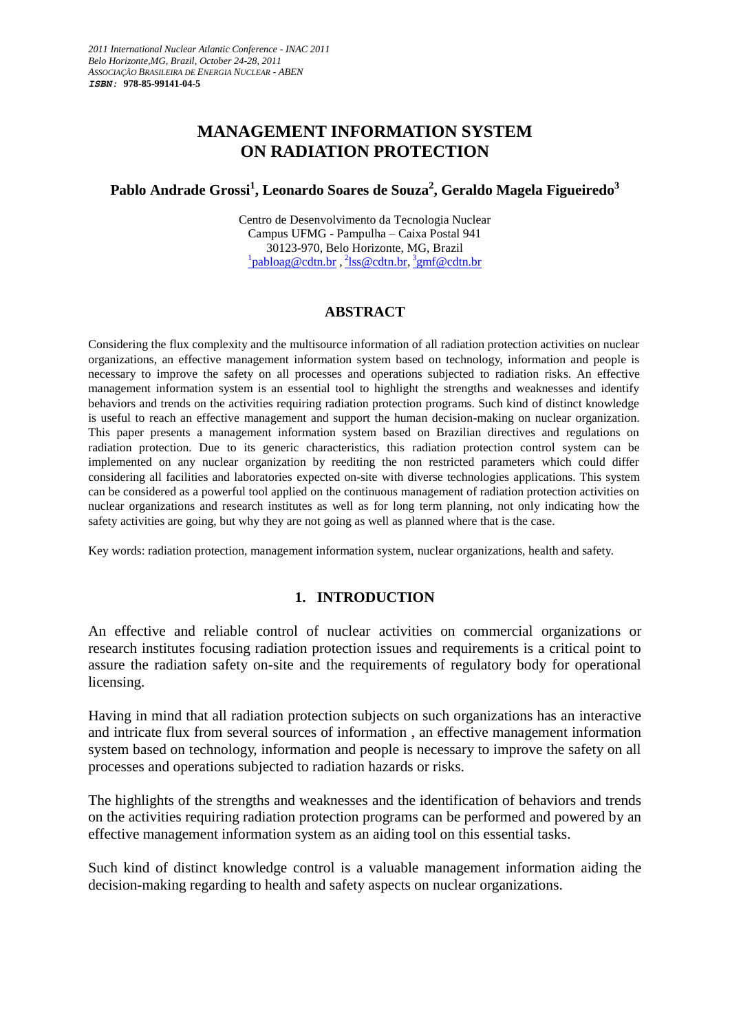# **MANAGEMENT INFORMATION SYSTEM ON RADIATION PROTECTION**

# **Pablo Andrade Grossi<sup>1</sup> , Leonardo Soares de Souza<sup>2</sup> , Geraldo Magela Figueiredo<sup>3</sup>**

Centro de Desenvolvimento da Tecnologia Nuclear Campus UFMG - Pampulha – Caixa Postal 941 30123-970, Belo Horizonte, MG, Brazil <sup>1</sup>[pabloag@cdtn.br](mailto:1pabloag@cdtn.br)<sub>,</sub> <sup>2</sup>[lss@cdtn.br,](mailto:2lss@cdtn.br) <sup>3</sup>[gmf@cdtn.br](mailto:3)

#### **ABSTRACT**

Considering the flux complexity and the multisource information of all radiation protection activities on nuclear organizations, an effective management information system based on technology, information and people is necessary to improve the safety on all processes and operations subjected to radiation risks. An effective management information system is an essential tool to highlight the strengths and weaknesses and identify behaviors and trends on the activities requiring radiation protection programs. Such kind of distinct knowledge is useful to reach an effective management and support the human decision-making on nuclear organization. This paper presents a management information system based on Brazilian directives and regulations on radiation protection. Due to its generic characteristics, this radiation protection control system can be implemented on any nuclear organization by reediting the non restricted parameters which could differ considering all facilities and laboratories expected on-site with diverse technologies applications. This system can be considered as a powerful tool applied on the continuous management of radiation protection activities on nuclear organizations and research institutes as well as for long term planning, not only indicating how the safety activities are going, but why they are not going as well as planned where that is the case.

Key words: radiation protection, management information system, nuclear organizations, health and safety.

# **1. INTRODUCTION**

An effective and reliable control of nuclear activities on commercial organizations or research institutes focusing radiation protection issues and requirements is a critical point to assure the radiation safety on-site and the requirements of regulatory body for operational licensing.

Having in mind that all radiation protection subjects on such organizations has an interactive and intricate flux from several sources of information , an effective management information system based on technology, information and people is necessary to improve the safety on all processes and operations subjected to radiation hazards or risks.

The highlights of the strengths and weaknesses and the identification of behaviors and trends on the activities requiring radiation protection programs can be performed and powered by an effective management information system as an aiding tool on this essential tasks.

Such kind of distinct knowledge control is a valuable management information aiding the decision-making regarding to health and safety aspects on nuclear organizations.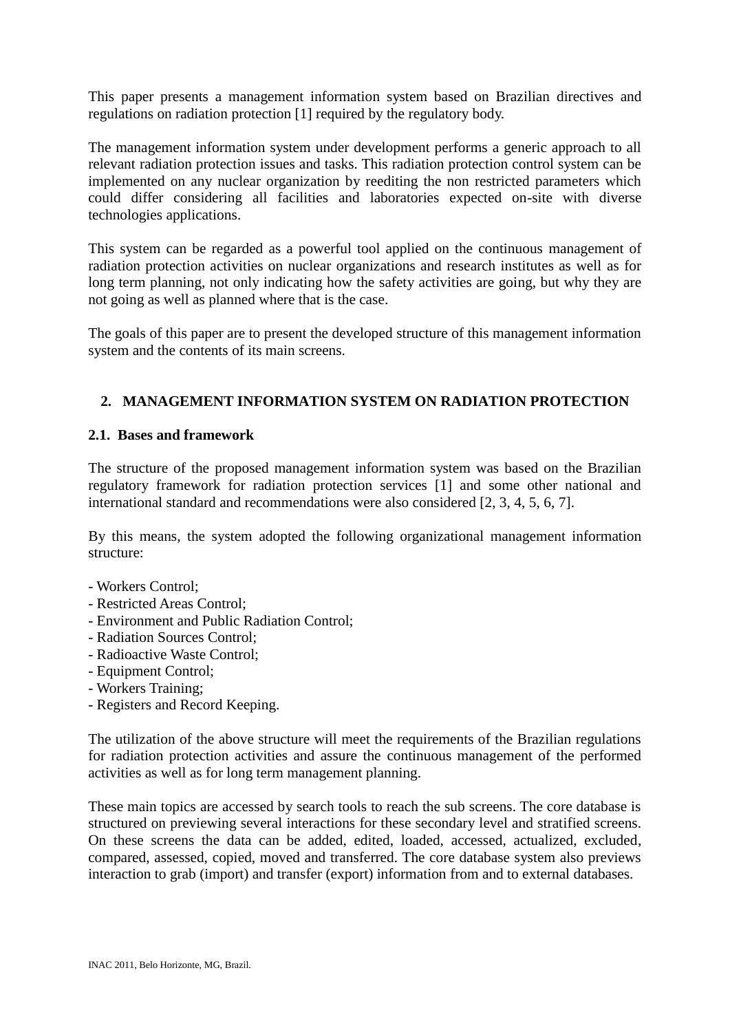This paper presents a management information system based on Brazilian directives and regulations on radiation protection [1] required by the regulatory body.

The management information system under development performs a generic approach to all relevant radiation protection issues and tasks. This radiation protection control system can be implemented on any nuclear organization by reediting the non restricted parameters which could differ considering all facilities and laboratories expected on-site with diverse technologies applications.

This system can be regarded as a powerful tool applied on the continuous management of radiation protection activities on nuclear organizations and research institutes as well as for long term planning, not only indicating how the safety activities are going, but why they are not going as well as planned where that is the case.

The goals of this paper are to present the developed structure of this management information system and the contents of its main screens.

# **2. MANAGEMENT INFORMATION SYSTEM ON RADIATION PROTECTION**

### **2.1. Bases and framework**

The structure of the proposed management information system was based on the Brazilian regulatory framework for radiation protection services [1] and some other national and international standard and recommendations were also considered [2, 3, 4, 5, 6, 7].

By this means, the system adopted the following organizational management information structure:

- Workers Control;
- Restricted Areas Control;
- Environment and Public Radiation Control;
- Radiation Sources Control;
- Radioactive Waste Control;
- Equipment Control;
- Workers Training;
- Registers and Record Keeping.

The utilization of the above structure will meet the requirements of the Brazilian regulations for radiation protection activities and assure the continuous management of the performed activities as well as for long term management planning.

These main topics are accessed by search tools to reach the sub screens. The core database is structured on previewing several interactions for these secondary level and stratified screens. On these screens the data can be added, edited, loaded, accessed, actualized, excluded, compared, assessed, copied, moved and transferred. The core database system also previews interaction to grab (import) and transfer (export) information from and to external databases.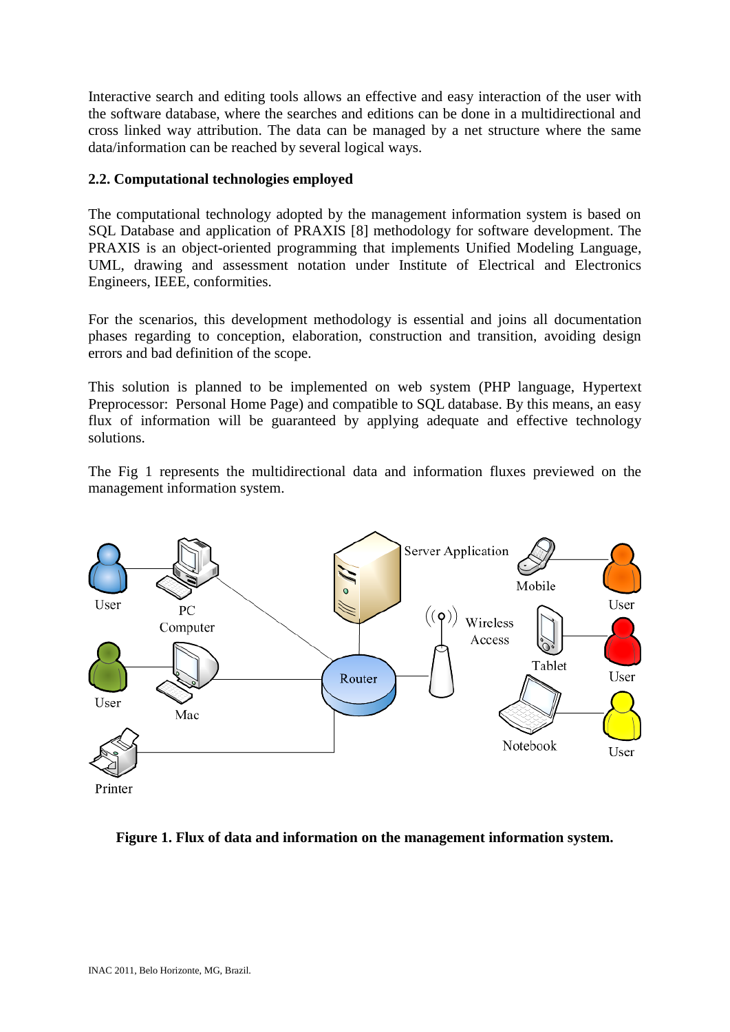Interactive search and editing tools allows an effective and easy interaction of the user with the software database, where the searches and editions can be done in a multidirectional and cross linked way attribution. The data can be managed by a net structure where the same data/information can be reached by several logical ways.

# **2.2. Computational technologies employed**

The computational technology adopted by the management information system is based on SQL Database and application of PRAXIS [8] methodology for software development. The PRAXIS is an object-oriented programming that implements Unified Modeling Language, UML, drawing and assessment notation under Institute of Electrical and Electronics Engineers, IEEE, conformities.

For the scenarios, this development methodology is essential and joins all documentation phases regarding to conception, elaboration, construction and transition, avoiding design errors and bad definition of the scope.

This solution is planned to be implemented on web system (PHP language, Hypertext Preprocessor: Personal Home Page) and compatible to SQL database. By this means, an easy flux of information will be guaranteed by applying adequate and effective technology solutions.

The Fig 1 represents the multidirectional data and information fluxes previewed on the management information system.



**Figure 1. Flux of data and information on the management information system.**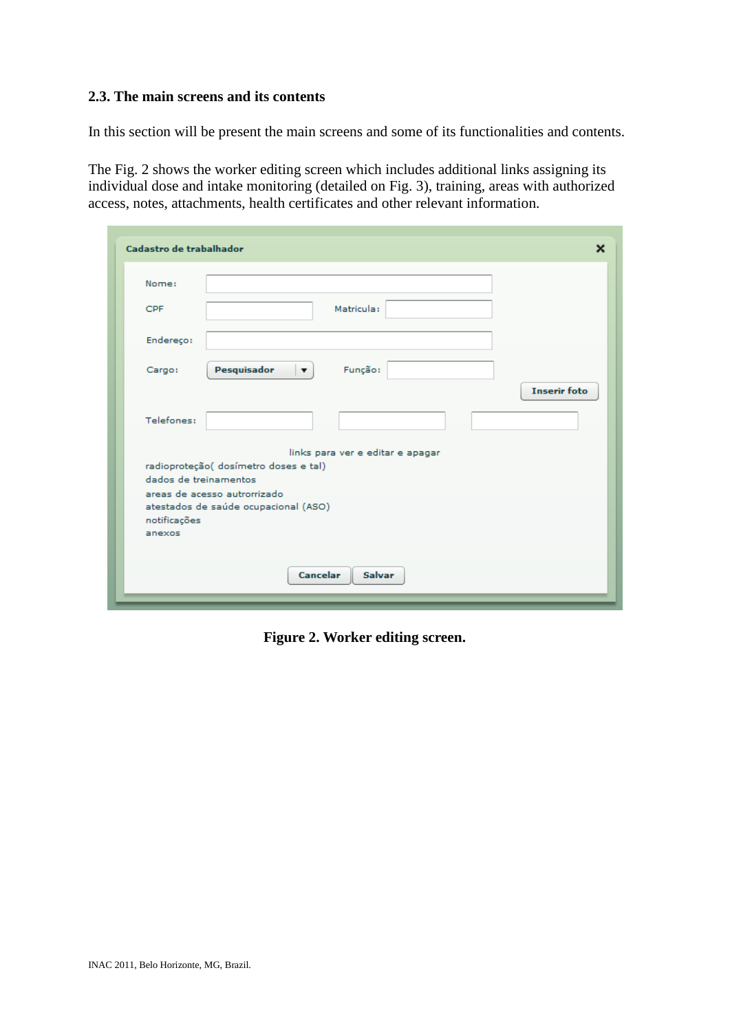#### **2.3. The main screens and its contents**

In this section will be present the main screens and some of its functionalities and contents.

The Fig. 2 shows the worker editing screen which includes additional links assigning its individual dose and intake monitoring (detailed on Fig. 3), training, areas with authorized access, notes, attachments, health certificates and other relevant information.

| Cadastro de trabalhador                                                                        | ×                   |
|------------------------------------------------------------------------------------------------|---------------------|
| Nome:                                                                                          |                     |
| Matricula:<br><b>CPF</b>                                                                       |                     |
| Endereço:                                                                                      |                     |
| Pesquisador<br>Função:<br>Cargo:<br>$\mathbf{v}$                                               |                     |
| Telefones:                                                                                     | <b>Inserir foto</b> |
| links para ver e editar e apagar                                                               |                     |
| radioproteção( dosímetro doses e tal)                                                          |                     |
| dados de treinamentos                                                                          |                     |
| areas de acesso autrorrizado<br>atestados de saúde ocupacional (ASO)<br>notificações<br>anexos |                     |
| Cancelar<br><b>Salvar</b>                                                                      |                     |

**Figure 2. Worker editing screen.**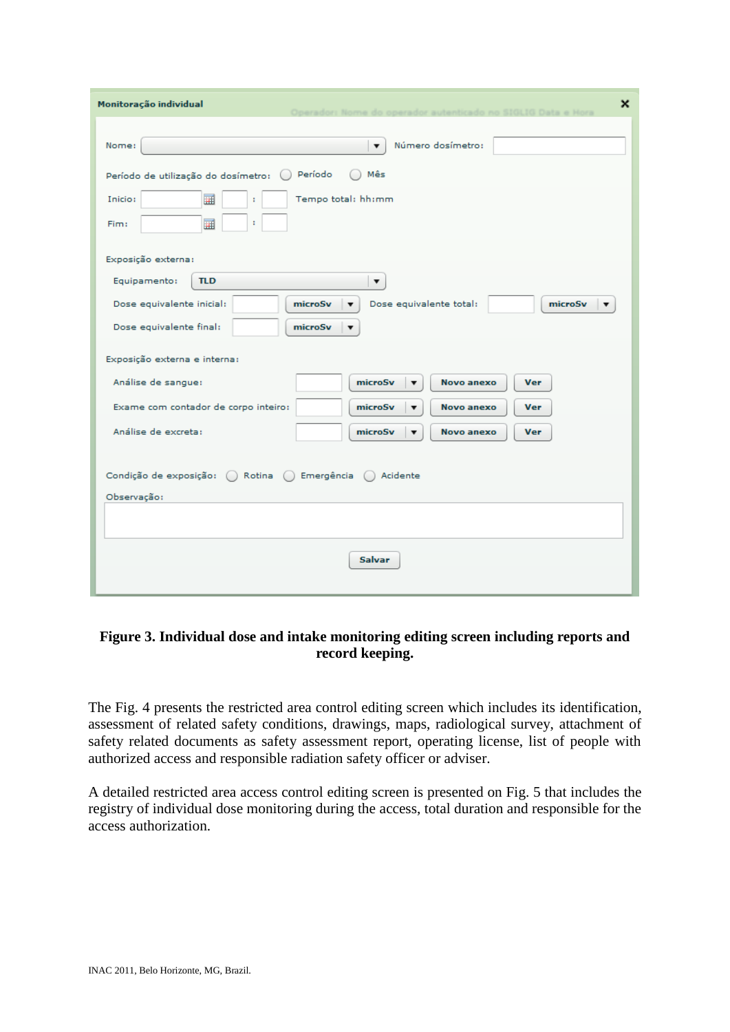| Monitoração individual<br>$\boldsymbol{\mathsf{x}}$                                                    |
|--------------------------------------------------------------------------------------------------------|
| Número dosímetro:<br>Nome:<br>$\overline{\mathbf{v}}$                                                  |
| Período<br>Mês<br>Período de utilização do dosímetro:                                                  |
| Tempo total: hh:mm<br>Inicio:<br>畺<br>÷                                                                |
| 圃<br>÷<br>Fim:                                                                                         |
| Exposição externa:                                                                                     |
| Equipamento:<br><b>TLD</b><br>▼                                                                        |
| Dose equivalente inicial:<br>Dose equivalente total:<br>microSv<br>microSv<br>▼                        |
| Dose equivalente final:<br>microSv                                                                     |
| Exposição externa e interna:                                                                           |
| Análise de sangue:<br>microSv<br>Novo anexo<br><b>Ver</b><br>▼                                         |
| Exame com contador de corpo inteiro:<br>microSv<br>Novo anexo<br><b>Ver</b><br>$\overline{\mathbf{v}}$ |
| Análise de excreta:<br>microSv<br>Novo anexo<br><b>Ver</b><br>$\overline{\mathbf{v}}$                  |
| Condição de exposição: ( Rotina ( )<br>Emergência $\bigcap$<br>Acidente                                |
| Observação:                                                                                            |
|                                                                                                        |
| <b>Salvar</b>                                                                                          |

### **Figure 3. Individual dose and intake monitoring editing screen including reports and record keeping.**

The Fig. 4 presents the restricted area control editing screen which includes its identification, assessment of related safety conditions, drawings, maps, radiological survey, attachment of safety related documents as safety assessment report, operating license, list of people with authorized access and responsible radiation safety officer or adviser.

A detailed restricted area access control editing screen is presented on Fig. 5 that includes the registry of individual dose monitoring during the access, total duration and responsible for the access authorization.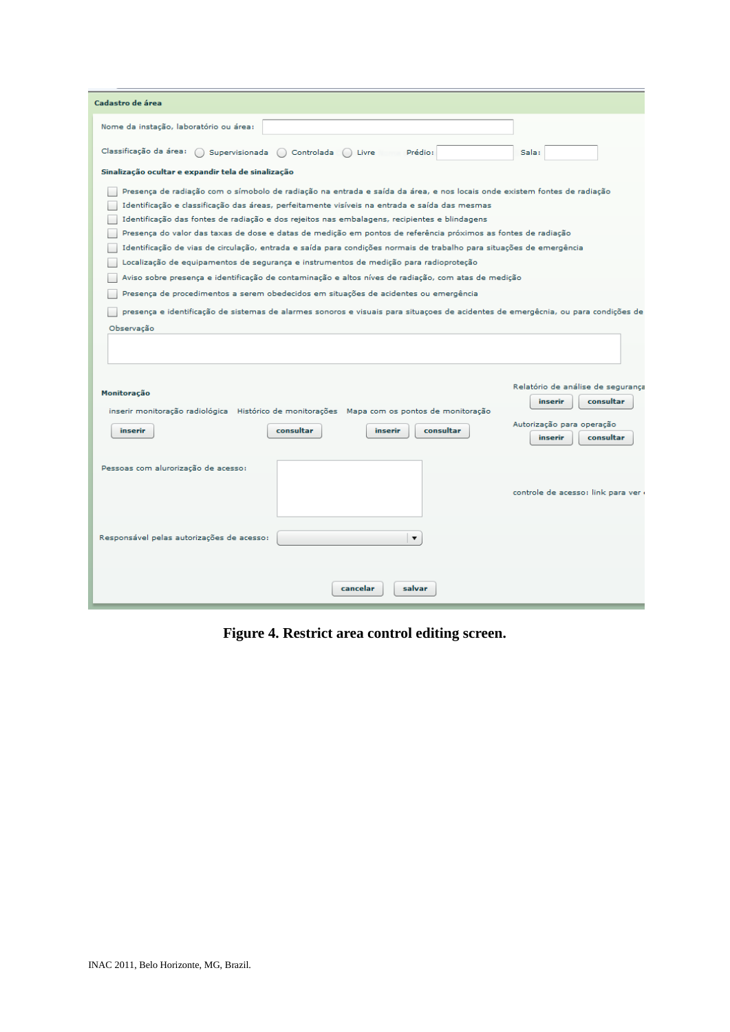| Cadastro de área                                                                              |                               |                                                                                                                          |                                                                                                                                   |
|-----------------------------------------------------------------------------------------------|-------------------------------|--------------------------------------------------------------------------------------------------------------------------|-----------------------------------------------------------------------------------------------------------------------------------|
| Nome da instação, laboratório ou área:                                                        |                               |                                                                                                                          |                                                                                                                                   |
| Classificação da área:                                                                        | Supervisionada ( ) Controlada | Livre<br>Prédio:                                                                                                         | Sala:                                                                                                                             |
| Sinalização ocultar e expandir tela de sinalização                                            |                               |                                                                                                                          |                                                                                                                                   |
|                                                                                               |                               | Presença de radiação com o símobolo de radiação na entrada e saída da área, e nos locais onde existem fontes de radiação |                                                                                                                                   |
| Identificação e classificação das áreas, perfeitamente visíveis na entrada e saída das mesmas |                               |                                                                                                                          |                                                                                                                                   |
| Identificação das fontes de radiação e dos rejeitos nas embalagens, recipientes e blindagens  |                               |                                                                                                                          |                                                                                                                                   |
|                                                                                               |                               | Presença do valor das taxas de dose e datas de medição em pontos de referência próximos as fontes de radiação            |                                                                                                                                   |
|                                                                                               |                               | Identificação de vias de circulação, entrada e saída para condições normais de trabalho para situações de emergência     |                                                                                                                                   |
| Localização de equipamentos de segurança e instrumentos de medição para radioproteção         |                               |                                                                                                                          |                                                                                                                                   |
|                                                                                               |                               | Aviso sobre presença e identificação de contaminação e altos níves de radiação, com atas de medição                      |                                                                                                                                   |
| Presença de procedimentos a serem obedecidos em situações de acidentes ou emergência          |                               |                                                                                                                          |                                                                                                                                   |
|                                                                                               |                               |                                                                                                                          | presença e identificação de sistemas de alarmes sonoros e visuais para situaçoes de acidentes de emergêcnia, ou para condições de |
| Observação                                                                                    |                               |                                                                                                                          |                                                                                                                                   |
|                                                                                               |                               |                                                                                                                          |                                                                                                                                   |
|                                                                                               |                               |                                                                                                                          |                                                                                                                                   |
| Monitoração                                                                                   |                               |                                                                                                                          | Relatório de análise de segurança<br>inserir<br>consultar                                                                         |
| inserir monitoração radiológica Histórico de monitorações Mapa com os pontos de monitoração   |                               |                                                                                                                          |                                                                                                                                   |
| inserir                                                                                       | consultar                     | consultar<br>inserir                                                                                                     | Autorização para operação                                                                                                         |
|                                                                                               |                               |                                                                                                                          | consultar<br>inserir                                                                                                              |
| Pessoas com alurorização de acesso:                                                           |                               |                                                                                                                          | controle de acesso: link para ver                                                                                                 |
| Responsável pelas autorizações de acesso:                                                     |                               | $\overline{\mathbf{v}}$                                                                                                  |                                                                                                                                   |
|                                                                                               |                               | cancelar<br>salvar                                                                                                       |                                                                                                                                   |

**Figure 4. Restrict area control editing screen.**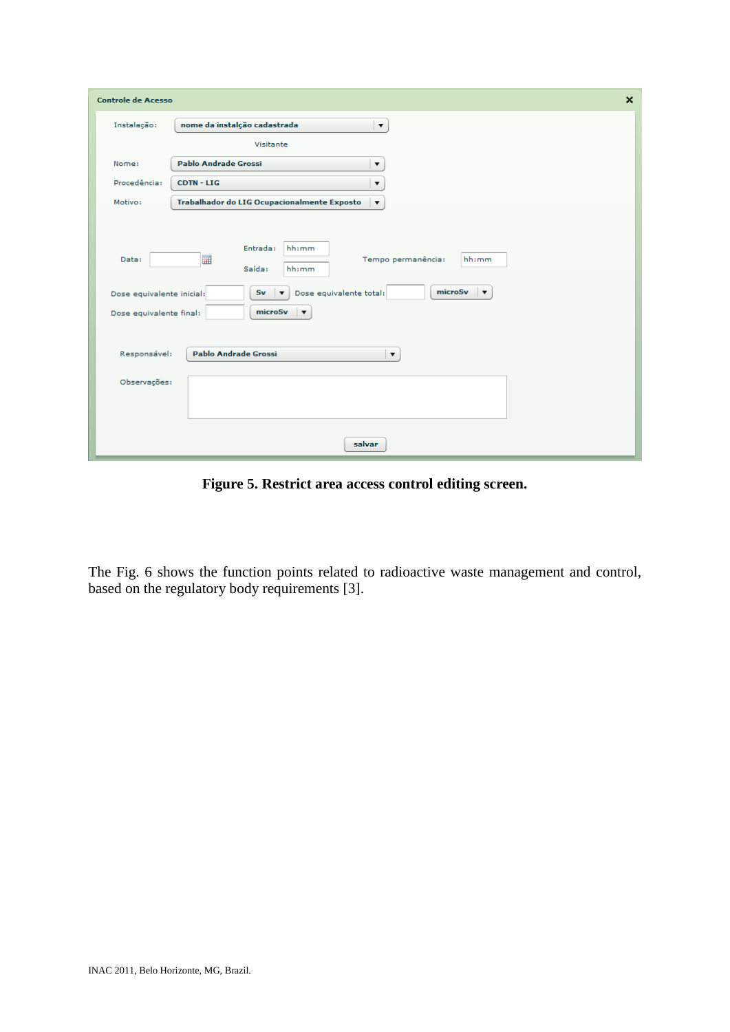| <b>Controle de Acesso</b>                                                     |                                                                                                                                                                                                                                            | $\boldsymbol{\mathsf{x}}$ |
|-------------------------------------------------------------------------------|--------------------------------------------------------------------------------------------------------------------------------------------------------------------------------------------------------------------------------------------|---------------------------|
| Instalação:                                                                   | nome da instalção cadastrada<br>$\pmb{\mathrm{v}}$                                                                                                                                                                                         |                           |
|                                                                               | Visitante                                                                                                                                                                                                                                  |                           |
| Nome:                                                                         | <b>Pablo Andrade Grossi</b><br>$\blacktriangledown$                                                                                                                                                                                        |                           |
| Procedência:                                                                  | <b>CDTN - LIG</b><br>$\blacktriangledown$                                                                                                                                                                                                  |                           |
| Motivo:                                                                       | Trabalhador do LIG Ocupacionalmente Exposto<br>$\overline{\phantom{a}}$                                                                                                                                                                    |                           |
| Data:<br>Dose equivalente inicial:<br>Dose equivalente final:<br>Responsável: | hh:mm<br>Entrada:<br>Tempo permanência:<br>hh:mm<br>畺<br>Saída:<br>hh:mm<br>microSv<br>Dose equivalente total:<br>Sv<br>$\overline{\phantom{a}}$<br>microSv<br>$\blacktriangledown$<br><b>Pablo Andrade Grossi</b><br>$\blacktriangledown$ |                           |
| Observações:                                                                  |                                                                                                                                                                                                                                            |                           |
|                                                                               | salvar                                                                                                                                                                                                                                     |                           |

**Figure 5. Restrict area access control editing screen.**

The Fig. 6 shows the function points related to radioactive waste management and control, based on the regulatory body requirements [3].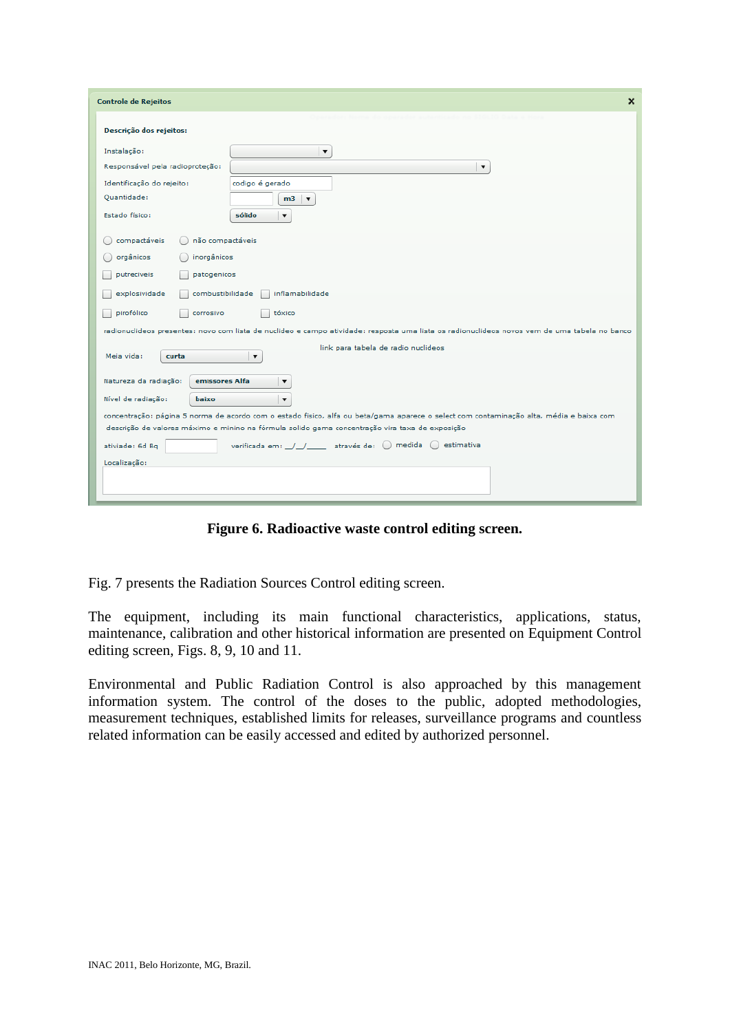| $\boldsymbol{\mathsf{x}}$<br><b>Controle de Rejeitos</b>                                                                                      |
|-----------------------------------------------------------------------------------------------------------------------------------------------|
| Descrição dos rejeitos:                                                                                                                       |
| Instalação:<br>$\overline{\mathbf{v}}$                                                                                                        |
| Responsável pela radioproteção:<br>$\blacktriangledown$                                                                                       |
| codigo é gerado<br>Identificação do rejeito:                                                                                                  |
| Quantidade:<br>m <sub>3</sub><br>$\blacktriangledown$                                                                                         |
| Estado físico:<br>sólido<br>$\blacktriangledown$                                                                                              |
| não compactáveis<br>compactáveis                                                                                                              |
| orgânicos<br>inorgânicos                                                                                                                      |
|                                                                                                                                               |
| putreciveis<br>patogenicos                                                                                                                    |
| inflamabilidade<br>explosividade<br>combustibilidade                                                                                          |
| pirofólico<br>tóxico<br>corrosivo                                                                                                             |
| radionuclideos presentes: novo com lista de nuclideo e campo atividade: resposta uma lista os radionuclideos novos vem de uma tabela no banco |
| link para tabela de radio nuclideos                                                                                                           |
| Meia vida:<br>$\blacktriangledown$<br>curta                                                                                                   |
| Natureza da radiação:<br>emissores Alfa<br>$\blacktriangledown$                                                                               |
| Nível de radiação:<br>baixo<br>$\blacktriangledown$                                                                                           |
| concentração: página 5 norma de acordo com o estado fisico, alfa ou beta/gama aparece o select com contaminação alta, média e baixa com       |
| descrição de valores máximo e minino na fórmula solido gama concentração vira taxa de exposição                                               |
| verificada em: /// através de: () medida<br>○ estimativa<br>ativiade: 6d Bg                                                                   |
| Localização:                                                                                                                                  |
|                                                                                                                                               |
|                                                                                                                                               |

**Figure 6. Radioactive waste control editing screen.**

Fig. 7 presents the Radiation Sources Control editing screen.

The equipment, including its main functional characteristics, applications, status, maintenance, calibration and other historical information are presented on Equipment Control editing screen, Figs. 8, 9, 10 and 11.

Environmental and Public Radiation Control is also approached by this management information system. The control of the doses to the public, adopted methodologies, measurement techniques, established limits for releases, surveillance programs and countless related information can be easily accessed and edited by authorized personnel.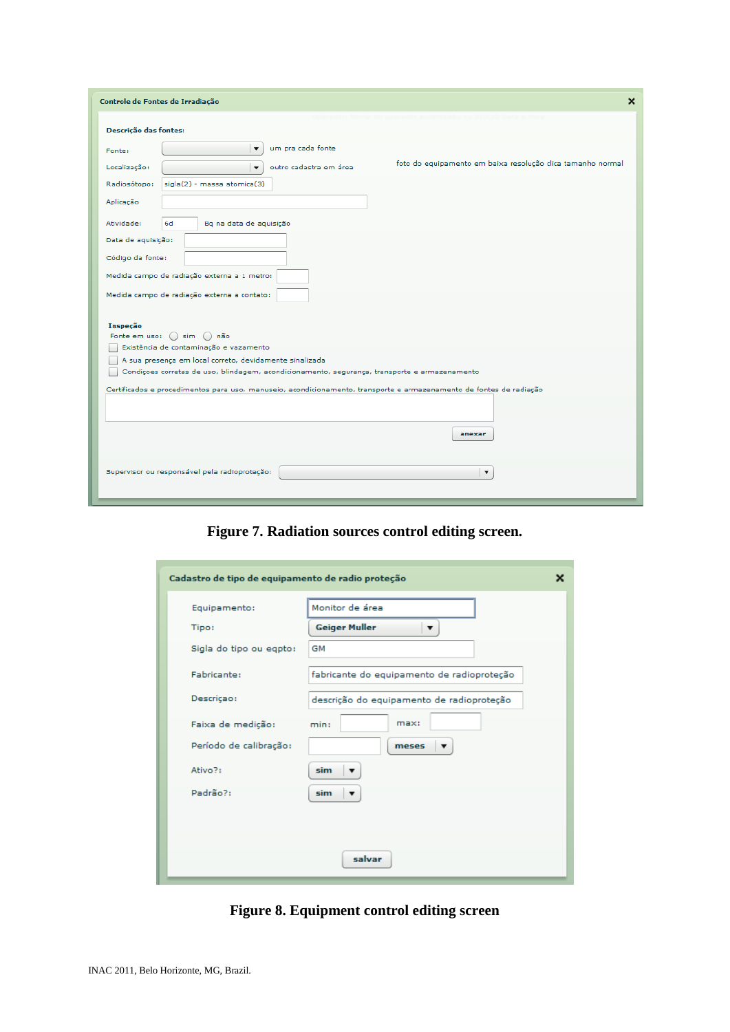| Controle de Fontes de Irradiação                                                                                                 | $\boldsymbol{\mathsf{x}}$ |
|----------------------------------------------------------------------------------------------------------------------------------|---------------------------|
| Descrição das fontes:                                                                                                            |                           |
| um pra cada fonte<br>$\overline{\mathbf{v}}$<br>Fonte:                                                                           |                           |
| foto do equipamento em baixa resolução clica tamanho normal<br>outro cadastra em área<br>Localização:<br>$\overline{\mathbf{v}}$ |                           |
| sigla(2) - massa atomica(3)<br>Radiosótopo:                                                                                      |                           |
| Aplicação                                                                                                                        |                           |
| Atividade:<br>6d<br>Bq na data de aquisição                                                                                      |                           |
| Data de aquisição:                                                                                                               |                           |
| Código da fonte:                                                                                                                 |                           |
| Medida campo de radiação externa a 1 metro:                                                                                      |                           |
| Medida campo de radiação externa a contato:                                                                                      |                           |
| Inspeção<br>Fonte em uso: () sim () não<br>Existência de contaminação e vazamento                                                |                           |
| A sua presença em local correto, devidamente sinalizada                                                                          |                           |
| Condiçoes corretas de uso, blindagem, acondicionamento, segurança, transporte e armazenamento                                    |                           |
| Certificados e procedimentos para uso, manuseio, acondicionamento, transporte e armazenamento de fontes de radiação              |                           |
|                                                                                                                                  |                           |
| anexar                                                                                                                           |                           |
| Supervisor ou responsável pela radioproteção:<br>$\overline{\mathbf{v}}$                                                         |                           |

**Figure 7. Radiation sources control editing screen.**

| Cadastro de tipo de equipamento de radio proteção | x                                          |
|---------------------------------------------------|--------------------------------------------|
| Equipamento:                                      | Monitor de área                            |
| Tipo:                                             | <b>Geiger Muller</b><br>▼                  |
| Sigla do tipo ou egpto:                           | GM                                         |
| Fabricante:                                       | fabricante do equipamento de radioproteção |
| Descriçao:                                        | descrição do equipamento de radioproteção  |
| Faixa de medição:                                 | max:<br>min:                               |
| Período de calibração:                            | meses<br>▼                                 |
| Ativo?:                                           | sim<br>▼                                   |
| Padrão?:                                          | sim<br>▼                                   |
|                                                   |                                            |
|                                                   |                                            |
|                                                   | salvar                                     |

**Figure 8. Equipment control editing screen**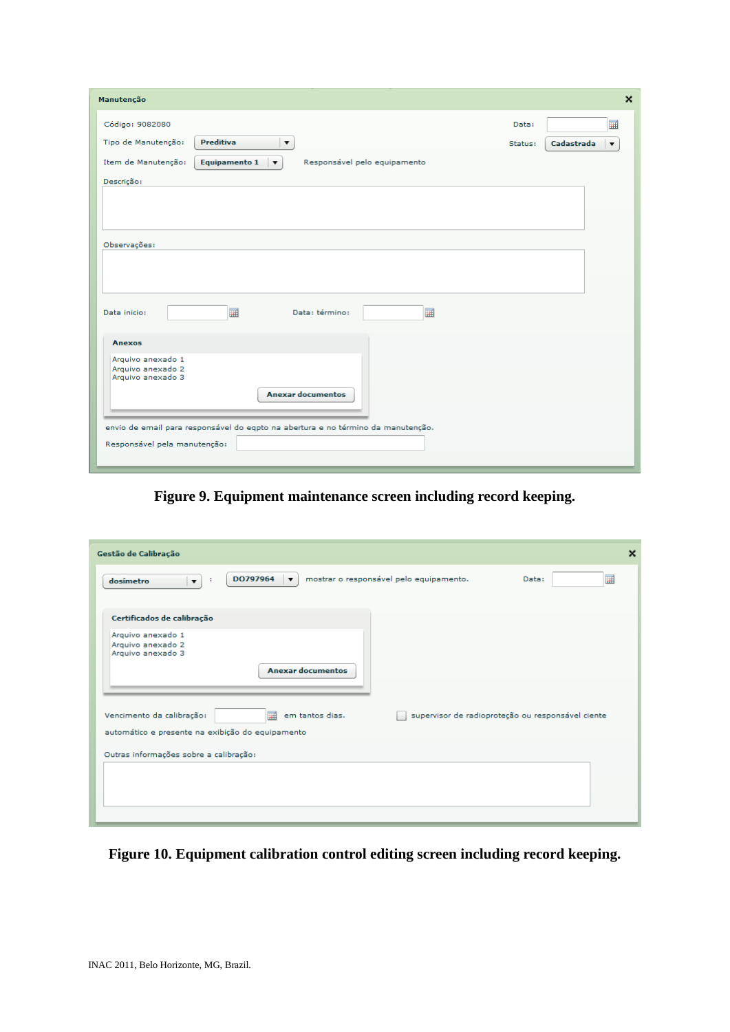| Manutenção                                                                                      |         |            | $\boldsymbol{\mathsf{x}}$ |
|-------------------------------------------------------------------------------------------------|---------|------------|---------------------------|
| Código: 9082080                                                                                 | Data:   |            | 圛                         |
| <b>Preditiva</b><br>Tipo de Manutenção:<br>▼                                                    | Status: | Cadastrada | $\blacktriangledown$      |
| Item de Manutenção:<br>Equipamento 1<br>Responsável pelo equipamento<br>$\overline{\mathbf{v}}$ |         |            |                           |
| Descrição:                                                                                      |         |            |                           |
|                                                                                                 |         |            |                           |
|                                                                                                 |         |            |                           |
| Observações:                                                                                    |         |            |                           |
|                                                                                                 |         |            |                           |
|                                                                                                 |         |            |                           |
|                                                                                                 |         |            |                           |
| 圛<br>圛<br>Data inicio:<br>Data: término:                                                        |         |            |                           |
| <b>Anexos</b>                                                                                   |         |            |                           |
| Arquivo anexado 1                                                                               |         |            |                           |
| Arquivo anexado 2<br>Arquivo anexado 3                                                          |         |            |                           |
| <b>Anexar documentos</b>                                                                        |         |            |                           |
|                                                                                                 |         |            |                           |
| envio de email para responsável do eqpto na abertura e no término da manutenção.                |         |            |                           |
| Responsável pela manutenção:                                                                    |         |            |                           |
|                                                                                                 |         |            |                           |

**Figure 9. Equipment maintenance screen including record keeping.**

| Gestão de Calibração                                                                                                       | $\boldsymbol{\mathsf{x}}$                         |
|----------------------------------------------------------------------------------------------------------------------------|---------------------------------------------------|
| DO797964<br>mostrar o responsável pelo equipamento.<br>$\overline{\mathbf{v}}$<br>dosímetro<br>- 1<br>$\blacktriangledown$ | 圃<br>Data:                                        |
| Certificados de calibração                                                                                                 |                                                   |
| Arquivo anexado 1<br>Arquivo anexado 2<br>Arquivo anexado 3<br><b>Anexar documentos</b>                                    |                                                   |
| em tantos dias.<br>Vencimento da calibração:<br>圃<br>automático e presente na exibição do equipamento                      | supervisor de radioproteção ou responsável ciente |
| Outras informações sobre a calibração:                                                                                     |                                                   |
|                                                                                                                            |                                                   |
|                                                                                                                            |                                                   |

**Figure 10. Equipment calibration control editing screen including record keeping.**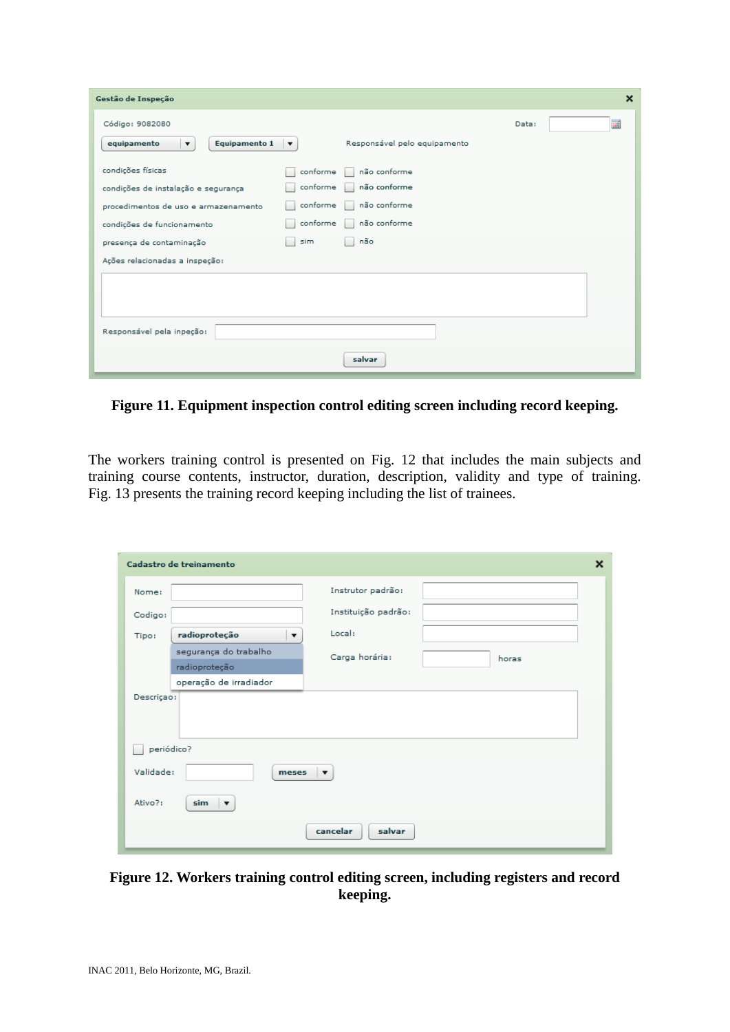| Gestão de Inspeção                                             |                      |                              |       | $\boldsymbol{\mathsf{x}}$ |
|----------------------------------------------------------------|----------------------|------------------------------|-------|---------------------------|
| Código: 9082080                                                |                      |                              | Data: | 圃                         |
| <b>Equipamento 1</b><br>equipamento<br>$\overline{\mathbf{v}}$ | $\blacktriangledown$ | Responsável pelo equipamento |       |                           |
| condições físicas                                              | conforme             | não conforme                 |       |                           |
| condições de instalação e segurança                            | conforme             | não conforme                 |       |                           |
| procedimentos de uso e armazenamento                           | conforme             | não conforme                 |       |                           |
| condições de funcionamento                                     | conforme             | não conforme                 |       |                           |
| presença de contaminação                                       | sim                  | não                          |       |                           |
| Ações relacionadas a inspeção:                                 |                      |                              |       |                           |
|                                                                |                      |                              |       |                           |
|                                                                |                      |                              |       |                           |
| Responsável pela inpeção:                                      |                      |                              |       |                           |
|                                                                |                      | salvar                       |       |                           |

**Figure 11. Equipment inspection control editing screen including record keeping.**

The workers training control is presented on Fig. 12 that includes the main subjects and training course contents, instructor, duration, description, validity and type of training. Fig. 13 presents the training record keeping including the list of trainees.

| Cadastro de treinamento                           |                     | $\boldsymbol{\mathsf{x}}$ |
|---------------------------------------------------|---------------------|---------------------------|
| Nome:                                             | Instrutor padrão:   |                           |
| Codigo:                                           | Instituição padrão: |                           |
| radioproteção<br>$\overline{\mathbf{v}}$<br>Tipo: | Local:              |                           |
| segurança do trabalho                             | Carga horária:      | horas                     |
| radioproteção                                     |                     |                           |
| operação de irradiador                            |                     |                           |
| Descriçao:                                        |                     |                           |
|                                                   |                     |                           |
|                                                   |                     |                           |
| periódico?                                        |                     |                           |
| Validade:<br>meses                                | ▼                   |                           |
| Ativo?:<br>sim<br>$\overline{\phantom{a}}$        |                     |                           |
|                                                   | cancelar<br>salvar  |                           |

**Figure 12. Workers training control editing screen, including registers and record keeping.**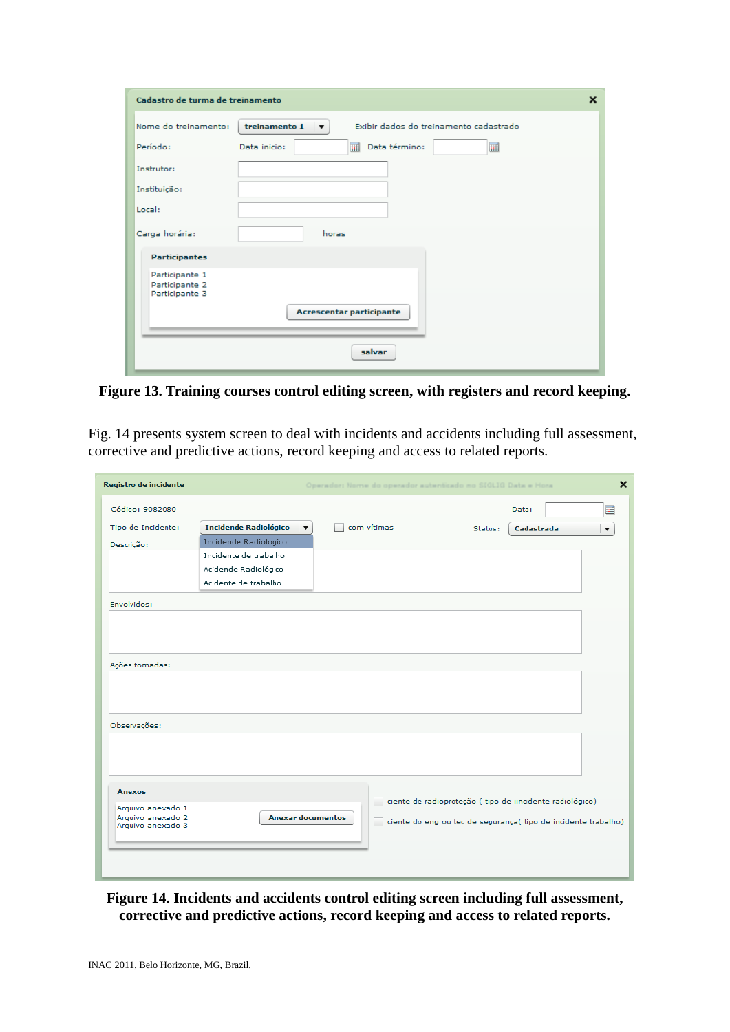| Cadastro de turma de treinamento                   | $\boldsymbol{\mathsf{x}}$                                                          |
|----------------------------------------------------|------------------------------------------------------------------------------------|
| Nome do treinamento:                               | treinamento 1<br>Exibir dados do treinamento cadastrado<br>$\overline{\mathbf{v}}$ |
| Período:                                           | Data término:<br>圛<br>Data inicio:                                                 |
| Instrutor:                                         |                                                                                    |
| Instituição:                                       |                                                                                    |
| Local:                                             |                                                                                    |
| Carga horária:                                     | horas                                                                              |
| <b>Participantes</b>                               |                                                                                    |
| Participante 1<br>Participante 2<br>Participante 3 |                                                                                    |
|                                                    | Acrescentar participante                                                           |
|                                                    | salvar                                                                             |

**Figure 13. Training courses control editing screen, with registers and record keeping.**

Fig. 14 presents system screen to deal with incidents and accidents including full assessment, corrective and predictive actions, record keeping and access to related reports.

| Registro de incidente |                              |                          | Operador: Nome do operador autenticado no SIGLIG Data e Hora |         |                                                                | $\boldsymbol{\mathsf{x}}$ |
|-----------------------|------------------------------|--------------------------|--------------------------------------------------------------|---------|----------------------------------------------------------------|---------------------------|
| Código: 9082080       |                              |                          |                                                              |         | Data:                                                          | 圃                         |
| Tipo de Incidente:    | <b>Incidende Radiológico</b> | $\blacktriangledown$     | com vítimas                                                  | Status: | Cadastrada                                                     | $\overline{\mathbf{v}}$   |
| Descrição:            | Incidende Radiológico        |                          |                                                              |         |                                                                |                           |
|                       | Incidente de trabalho        |                          |                                                              |         |                                                                |                           |
|                       | Acidende Radiológico         |                          |                                                              |         |                                                                |                           |
|                       | Acidente de trabalho         |                          |                                                              |         |                                                                |                           |
| Envolvidos:           |                              |                          |                                                              |         |                                                                |                           |
|                       |                              |                          |                                                              |         |                                                                |                           |
|                       |                              |                          |                                                              |         |                                                                |                           |
|                       |                              |                          |                                                              |         |                                                                |                           |
| Ações tomadas:        |                              |                          |                                                              |         |                                                                |                           |
|                       |                              |                          |                                                              |         |                                                                |                           |
|                       |                              |                          |                                                              |         |                                                                |                           |
|                       |                              |                          |                                                              |         |                                                                |                           |
|                       |                              |                          |                                                              |         |                                                                |                           |
| Observações:          |                              |                          |                                                              |         |                                                                |                           |
|                       |                              |                          |                                                              |         |                                                                |                           |
|                       |                              |                          |                                                              |         |                                                                |                           |
|                       |                              |                          |                                                              |         |                                                                |                           |
| <b>Anexos</b>         |                              |                          |                                                              |         |                                                                |                           |
| Arquivo anexado 1     |                              |                          |                                                              |         | ciente de radioproteção (tipo de iincidente radiológico)       |                           |
| Arquivo anexado 2     |                              | <b>Anexar documentos</b> |                                                              |         | ciente do eng ou tec de segurança( tipo de incidente trabalho) |                           |
| Arquivo anexado 3     |                              |                          |                                                              |         |                                                                |                           |
|                       |                              |                          |                                                              |         |                                                                |                           |
|                       |                              |                          |                                                              |         |                                                                |                           |
|                       |                              |                          |                                                              |         |                                                                |                           |

#### **Figure 14. Incidents and accidents control editing screen including full assessment, corrective and predictive actions, record keeping and access to related reports.**